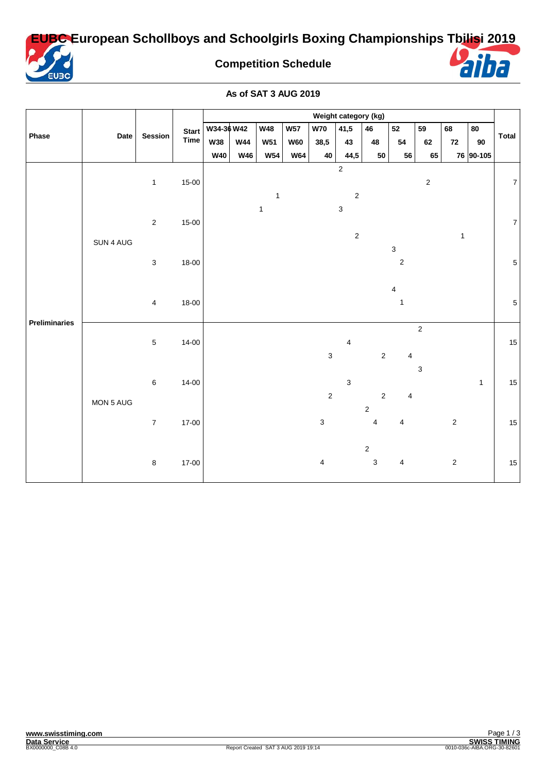**EUBC European Schollboys and Schoolgirls Boxing Championships Tbilisi 2019**



**Competition Schedule**



## **As of SAT 3 AUG 2019**

|               | Date      | Session                 | Start<br>Time | Weight category (kg) |            |              |            |                |                                |                           |                           |                           |              |              |                |
|---------------|-----------|-------------------------|---------------|----------------------|------------|--------------|------------|----------------|--------------------------------|---------------------------|---------------------------|---------------------------|--------------|--------------|----------------|
| Phase         |           |                         |               | W34-36 W42           |            | <b>W48</b>   | <b>W57</b> | <b>W70</b>     | 41,5                           | 46                        | 52                        | 59                        | 68           | 80           | Total          |
|               |           |                         |               | <b>W38</b>           | <b>W44</b> | <b>W51</b>   | <b>W60</b> | 38,5           | 43                             | 48                        | 54                        | 62                        | 72           | 90           |                |
|               |           |                         |               | <b>W40</b>           | <b>W46</b> | <b>W54</b>   | <b>W64</b> | 40             | 44,5                           | 50                        | 56                        | 65                        |              | 76 90-105    |                |
| Preliminaries | SUN 4 AUG | $\mathbf{1}$            | $15-00$       |                      |            | 1            |            |                | $\mathbf 2$<br>$\sqrt{2}$      |                           |                           | $\sqrt{2}$                |              |              | $\overline{7}$ |
|               |           | $\overline{2}$          | $15 - 00$     |                      |            | $\mathbf{1}$ |            |                | $\mathbf{3}$<br>$\overline{2}$ |                           |                           |                           | $\mathbf{1}$ |              | $\overline{7}$ |
|               |           | $\mathbf{3}$            | 18-00         |                      |            |              |            |                |                                |                           | $\mathsf 3$<br>$\sqrt{2}$ |                           |              |              | $\overline{5}$ |
|               |           | $\overline{\mathbf{4}}$ | 18-00         |                      |            |              |            |                |                                |                           | 4<br>$\mathbf{1}$         |                           |              |              | $\overline{5}$ |
|               | MON 5 AUG | $\sqrt{5}$              | $14 - 00$     |                      |            |              |            | $\sqrt{3}$     | 4                              | $\overline{2}$            | 4                         | $\sqrt{2}$                |              |              | $15\,$         |
|               |           | $\,6\,$                 | $14 - 00$     |                      |            |              |            | $\sqrt{2}$     | 3                              | $\overline{2}$            | 4                         | $\ensuremath{\mathsf{3}}$ |              | $\mathbf{1}$ | 15             |
|               |           | $\overline{7}$          | 17-00         |                      |            |              |            | $\mathbf{3}$   |                                | $\sqrt{2}$<br>4           | 4                         |                           | $\sqrt{2}$   |              | 15             |
|               |           | $\,8\,$                 | $17-00$       |                      |            |              |            | $\overline{4}$ |                                | $\sqrt{2}$<br>$\mathbf 3$ | 4                         |                           | $\sqrt{2}$   |              | 15             |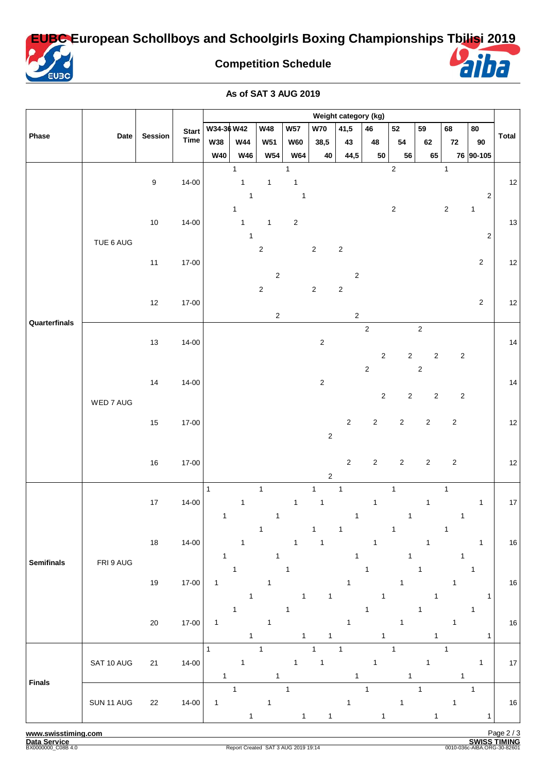**EUBC European Schollboys and Schoolgirls Boxing Championships Tbilisi 2019**



**Competition Schedule**



**As of SAT 3 AUG 2019**

|                   |            |                  | <b>Start</b> | Weight category (kg)         |                                              |                              |                                              |                              |                              |                               |                              |                              |                              |                                  |                   |
|-------------------|------------|------------------|--------------|------------------------------|----------------------------------------------|------------------------------|----------------------------------------------|------------------------------|------------------------------|-------------------------------|------------------------------|------------------------------|------------------------------|----------------------------------|-------------------|
|                   |            |                  |              | W34-36 W42                   |                                              | <b>W48</b>                   | <b>W57</b>                                   | <b>W70</b>                   | 41,5                         | 46                            | 52                           | 59                           | 68                           | 80                               |                   |
| Phase             | Date       | <b>Session</b>   | <b>Time</b>  | <b>W38</b>                   | <b>W44</b>                                   | <b>W51</b>                   | <b>W60</b>                                   | 38,5                         | 43                           | 48                            | 54                           | 62                           | 72                           | $90\,$                           | Total             |
|                   |            |                  |              | <b>W40</b>                   | <b>W46</b>                                   | <b>W54</b>                   | <b>W64</b>                                   | 40                           | 44,5                         | ${\bf 50}$                    | 56                           | 65                           |                              | 76 90-105                        |                   |
| Quarterfinals     | TUE 6 AUG  | $\boldsymbol{9}$ | $14 - 00$    |                              | $\mathbf{1}$<br>$\mathbf{1}$<br>$\mathbf{1}$ | $\mathbf{1}$                 | $\mathbf{1}$<br>$\mathbf{1}$<br>$\mathbf{1}$ |                              |                              |                               | $\sqrt{2}$                   |                              | $\mathbf{1}$                 | $\sqrt{2}$                       | $12 \overline{ }$ |
|                   |            | $10$             | $14 - 00$    |                              | $\mathbf{1}$<br>$\mathbf{1}$<br>$\mathbf{1}$ | $\mathbf{1}$                 | $\sqrt{2}$                                   |                              |                              |                               | $\overline{2}$               |                              | $\sqrt{2}$                   | $\mathbf{1}$<br>$\boldsymbol{2}$ | 13                |
|                   |            | $11$             | $17 - 00$    |                              |                                              | $\sqrt{2}$<br>$\sqrt{2}$     |                                              | $\sqrt{2}$                   | $\sqrt{2}$<br>$\sqrt{2}$     |                               |                              |                              |                              | $\sqrt{2}$                       | 12                |
|                   |            | $12$             | $17 - 00$    |                              |                                              | $\sqrt{2}$<br>$\sqrt{2}$     |                                              | $\sqrt{2}$                   | $\sqrt{2}$<br>$\sqrt{2}$     |                               |                              |                              |                              | $\sqrt{2}$                       | 12                |
|                   | WED 7 AUG  | $13$             | $14 - 00$    |                              |                                              |                              |                                              | $\sqrt{2}$                   |                              | $\mathbf 2$<br>$\overline{2}$ | $\sqrt{2}$                   | $\sqrt{2}$<br>$\sqrt{2}$     | $\sqrt{2}$                   |                                  | 14                |
|                   |            | 14               | $14 - 00$    |                              |                                              |                              |                                              | $\sqrt{2}$                   |                              | $\sqrt{2}$<br>$\overline{2}$  | $\sqrt{2}$                   | $\sqrt{2}$<br>$\overline{2}$ | $\sqrt{2}$                   |                                  | 14                |
|                   |            | 15               | $17 - 00$    |                              |                                              |                              |                                              | $\sqrt{2}$                   | $\sqrt{2}$                   | $\overline{2}$                | $\sqrt{2}$                   | $\overline{2}$               | $\sqrt{2}$                   |                                  | $12$              |
|                   |            | $16\,$           | $17 - 00$    |                              |                                              |                              |                                              | $\sqrt{2}$                   | $\overline{2}$               | $\overline{2}$                | $\overline{2}$               | $\overline{2}$               | $\sqrt{2}$                   |                                  | 12                |
| <b>Semifinals</b> | FRI 9 AUG  | $17\,$           | $14 - 00$    | $\mathbf{1}$<br>$\mathbf{1}$ | $\mathbf{1}$                                 | $\mathbf{1}$<br>$\mathbf{1}$ | $\mathbf{1}$                                 | $\mathbf{1}$<br>$\mathbf{1}$ | $\mathbf{1}$<br>$\mathbf{1}$ | $\mathbf{1}$                  | $\mathbf{1}$<br>$\mathbf{1}$ | $\mathbf{1}$                 | $\mathbf{1}$<br>$\mathbf{1}$ | $\mathbf{1}$                     | $17$              |
|                   |            | 18               | $14 - 00$    | $\mathbf{1}$                 | $\mathbf{1}$                                 | 1<br>1                       | $\mathbf{1}$                                 | 1<br>$\mathbf{1}$            | 1<br>1                       | $\mathbf{1}$                  | 1<br>1                       | $\mathbf{1}$                 | 1<br>1                       | $\mathbf{1}$                     | 16                |
|                   |            | $19$             | $17 - 00$    | $\mathbf{1}$                 | $\mathbf{1}$<br>1                            | 1                            | 1<br>1                                       | 1                            | $\mathbf{1}$                 | 1<br>1                        | 1                            | $\mathbf{1}$<br>1            | 1                            | $\mathbf{1}$<br>1                | $16\,$            |
|                   |            | $20\,$           | $17 - 00$    | $\mathbf{1}$                 | $\mathbf{1}$<br>1                            | $\mathbf{1}$                 | $\mathbf{1}$<br>1                            | 1                            | $\mathbf{1}$                 | 1<br>1                        | 1                            | $\mathbf{1}$<br>1            | $\mathbf{1}$                 | $\mathbf{1}$<br>1                | 16                |
| <b>Finals</b>     | SAT 10 AUG | 21               | $14 - 00$    | $\mathbf{1}$<br>$\mathbf{1}$ | $\mathbf{1}$                                 | $\mathbf{1}$<br>$\mathbf{1}$ | $\mathbf{1}$                                 | $\mathbf{1}$<br>$\mathbf{1}$ | $\mathbf{1}$<br>$\mathbf{1}$ | $\mathbf{1}$                  | $\mathbf{1}$<br>$\mathbf{1}$ | $\mathbf{1}$                 | $\mathbf{1}$<br>$\mathbf{1}$ | $\mathbf{1}$                     | 17                |
|                   | SUN 11 AUG | 22               | $14 - 00$    | $\mathbf{1}$                 | $\mathbf{1}$<br>1                            | $\mathbf{1}$                 | $\mathbf{1}$<br>$\mathbf{1}$                 | $\mathbf{1}$                 | $\mathbf{1}$                 | $\mathbf{1}$<br>1             | $\mathbf{1}$                 | $\mathbf{1}$<br>1            | $\mathbf{1}$                 | $\mathbf{1}$<br>$\mathbf{1}$     | 16                |

**www.swisstiming.com**